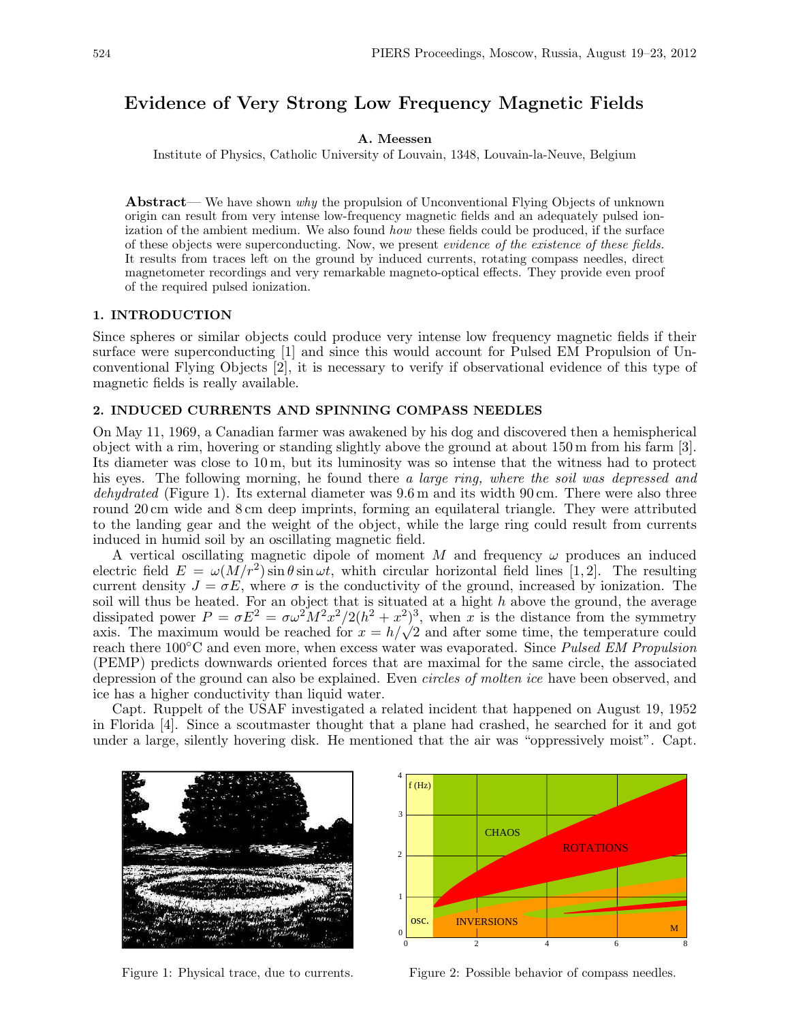# Evidence of Very Strong Low Frequency Magnetic Fields

#### A. Meessen

Institute of Physics, Catholic University of Louvain, 1348, Louvain-la-Neuve, Belgium

Abstract— We have shown why the propulsion of Unconventional Flying Objects of unknown origin can result from very intense low-frequency magnetic fields and an adequately pulsed ionization of the ambient medium. We also found how these fields could be produced, if the surface of these objects were superconducting. Now, we present evidence of the existence of these fields. It results from traces left on the ground by induced currents, rotating compass needles, direct magnetometer recordings and very remarkable magneto-optical effects. They provide even proof of the required pulsed ionization.

# 1. INTRODUCTION

Since spheres or similar objects could produce very intense low frequency magnetic fields if their surface were superconducting [1] and since this would account for Pulsed EM Propulsion of Unconventional Flying Objects [2], it is necessary to verify if observational evidence of this type of magnetic fields is really available.

## 2. INDUCED CURRENTS AND SPINNING COMPASS NEEDLES

On May 11, 1969, a Canadian farmer was awakened by his dog and discovered then a hemispherical object with a rim, hovering or standing slightly above the ground at about 150 m from his farm [3]. Its diameter was close to 10 m, but its luminosity was so intense that the witness had to protect his eyes. The following morning, he found there a large ring, where the soil was depressed and dehydrated (Figure 1). Its external diameter was  $9.6 \,\mathrm{m}$  and its width  $90 \,\mathrm{cm}$ . There were also three round 20 cm wide and 8 cm deep imprints, forming an equilateral triangle. They were attributed to the landing gear and the weight of the object, while the large ring could result from currents induced in humid soil by an oscillating magnetic field.

A vertical oscillating magnetic dipole of moment M and frequency  $\omega$  produces an induced electric field  $E = \omega(M/r^2) \sin \theta \sin \omega t$ , whith circular horizontal field lines [1,2]. The resulting current density  $J = \sigma E$ , where  $\sigma$  is the conductivity of the ground, increased by ionization. The soil will thus be heated. For an object that is situated at a hight  $h$  above the ground, the average dissipated power  $P = \sigma E^2 = \sigma \omega^2 M^2 x^2 / 2(h^2 + x^2)^3$ , when x is the distance from the symmetry dissipated power  $P = \sigma E^* = \sigma \omega^* M^* x^* / 2(n^* + x^*)^2$ , when x is the distance from the symmetry axis. The maximum would be reached for  $x = h/\sqrt{2}$  and after some time, the temperature could reach there 100<sup>°</sup>C and even more, when excess water was evaporated. Since *Pulsed EM Propulsion* (PEMP) predicts downwards oriented forces that are maximal for the same circle, the associated depression of the ground can also be explained. Even circles of molten ice have been observed, and ice has a higher conductivity than liquid water.

Capt. Ruppelt of the USAF investigated a related incident that happened on August 19, 1952 in Florida [4]. Since a scoutmaster thought that a plane had crashed, he searched for it and got under a large, silently hovering disk. He mentioned that the air was "oppressively moist". Capt.



Figure 1: Physical trace, due to currents.



Figure 2: Possible behavior of compass needles.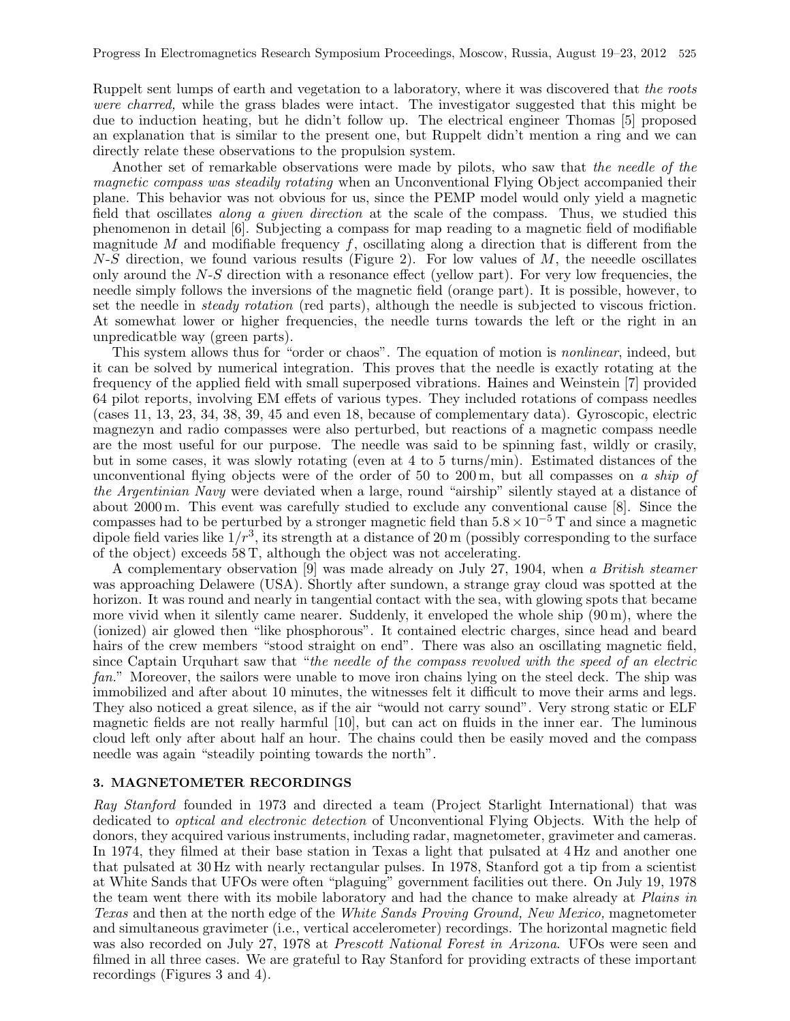Ruppelt sent lumps of earth and vegetation to a laboratory, where it was discovered that the roots were charred, while the grass blades were intact. The investigator suggested that this might be due to induction heating, but he didn't follow up. The electrical engineer Thomas [5] proposed an explanation that is similar to the present one, but Ruppelt didn't mention a ring and we can directly relate these observations to the propulsion system.

Another set of remarkable observations were made by pilots, who saw that the needle of the magnetic compass was steadily rotating when an Unconventional Flying Object accompanied their plane. This behavior was not obvious for us, since the PEMP model would only yield a magnetic field that oscillates along a given direction at the scale of the compass. Thus, we studied this phenomenon in detail [6]. Subjecting a compass for map reading to a magnetic field of modifiable magnitude M and modifiable frequency  $f$ , oscillating along a direction that is different from the  $N-S$  direction, we found various results (Figure 2). For low values of  $M$ , the neeedle oscillates only around the  $N-S$  direction with a resonance effect (yellow part). For very low frequencies, the needle simply follows the inversions of the magnetic field (orange part). It is possible, however, to set the needle in *steady rotation* (red parts), although the needle is subjected to viscous friction. At somewhat lower or higher frequencies, the needle turns towards the left or the right in an unpredicatble way (green parts).

This system allows thus for "order or chaos". The equation of motion is *nonlinear*, indeed, but it can be solved by numerical integration. This proves that the needle is exactly rotating at the frequency of the applied field with small superposed vibrations. Haines and Weinstein [7] provided 64 pilot reports, involving EM effets of various types. They included rotations of compass needles (cases 11, 13, 23, 34, 38, 39, 45 and even 18, because of complementary data). Gyroscopic, electric magnezyn and radio compasses were also perturbed, but reactions of a magnetic compass needle are the most useful for our purpose. The needle was said to be spinning fast, wildly or crasily, but in some cases, it was slowly rotating (even at 4 to 5 turns/min). Estimated distances of the unconventional flying objects were of the order of 50 to 200 m, but all compasses on a ship of the Argentinian Navy were deviated when a large, round "airship" silently stayed at a distance of about 2000 m. This event was carefully studied to exclude any conventional cause [8]. Since the compasses had to be perturbed by a stronger magnetic field than  $5.8 \times 10^{-5}$  T and since a magnetic dipole field varies like  $1/r^3$ , its strength at a distance of 20 m (possibly corresponding to the surface of the object) exceeds 58 T, although the object was not accelerating.

A complementary observation [9] was made already on July 27, 1904, when a British steamer was approaching Delawere (USA). Shortly after sundown, a strange gray cloud was spotted at the horizon. It was round and nearly in tangential contact with the sea, with glowing spots that became more vivid when it silently came nearer. Suddenly, it enveloped the whole ship (90 m), where the (ionized) air glowed then "like phosphorous". It contained electric charges, since head and beard hairs of the crew members "stood straight on end". There was also an oscillating magnetic field, since Captain Urquhart saw that "the needle of the compass revolved with the speed of an electric fan." Moreover, the sailors were unable to move iron chains lying on the steel deck. The ship was immobilized and after about 10 minutes, the witnesses felt it difficult to move their arms and legs. They also noticed a great silence, as if the air "would not carry sound". Very strong static or ELF magnetic fields are not really harmful [10], but can act on fluids in the inner ear. The luminous cloud left only after about half an hour. The chains could then be easily moved and the compass needle was again "steadily pointing towards the north".

#### 3. MAGNETOMETER RECORDINGS

Ray Stanford founded in 1973 and directed a team (Project Starlight International) that was dedicated to optical and electronic detection of Unconventional Flying Objects. With the help of donors, they acquired various instruments, including radar, magnetometer, gravimeter and cameras. In 1974, they filmed at their base station in Texas a light that pulsated at 4 Hz and another one that pulsated at 30 Hz with nearly rectangular pulses. In 1978, Stanford got a tip from a scientist at White Sands that UFOs were often "plaguing" government facilities out there. On July 19, 1978 the team went there with its mobile laboratory and had the chance to make already at Plains in Texas and then at the north edge of the White Sands Proving Ground, New Mexico, magnetometer and simultaneous gravimeter (i.e., vertical accelerometer) recordings. The horizontal magnetic field was also recorded on July 27, 1978 at *Prescott National Forest in Arizona*. UFOs were seen and filmed in all three cases. We are grateful to Ray Stanford for providing extracts of these important recordings (Figures 3 and 4).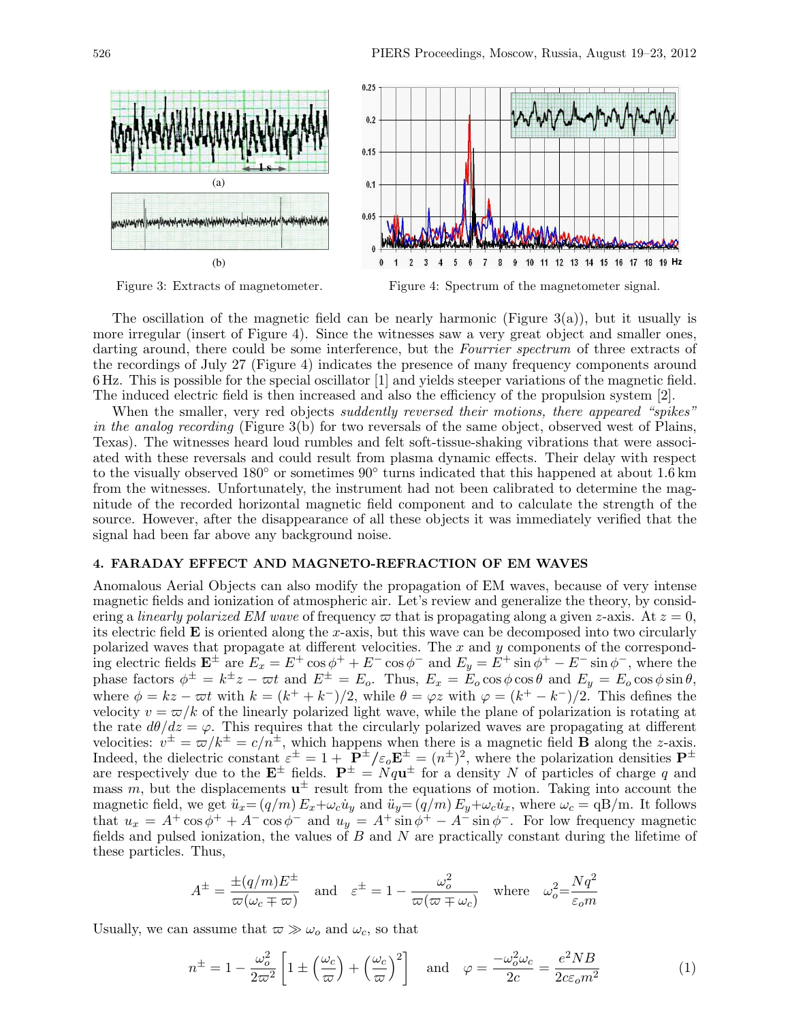

Figure 3: Extracts of magnetometer.



The oscillation of the magnetic field can be nearly harmonic (Figure 3(a)), but it usually is more irregular (insert of Figure 4). Since the witnesses saw a very great object and smaller ones, darting around, there could be some interference, but the Fourrier spectrum of three extracts of the recordings of July 27 (Figure 4) indicates the presence of many frequency components around 6 Hz. This is possible for the special oscillator [1] and yields steeper variations of the magnetic field. The induced electric field is then increased and also the efficiency of the propulsion system [2].

When the smaller, very red objects *suddently reversed their motions, there appeared "spikes"* in the analog recording (Figure 3(b) for two reversals of the same object, observed west of Plains, Texas). The witnesses heard loud rumbles and felt soft-tissue-shaking vibrations that were associated with these reversals and could result from plasma dynamic effects. Their delay with respect to the visually observed 180 $^{\circ}$  or sometimes 90 $^{\circ}$  turns indicated that this happened at about 1.6 km from the witnesses. Unfortunately, the instrument had not been calibrated to determine the magnitude of the recorded horizontal magnetic field component and to calculate the strength of the source. However, after the disappearance of all these objects it was immediately verified that the signal had been far above any background noise.

# 4. FARADAY EFFECT AND MAGNETO-REFRACTION OF EM WAVES

Anomalous Aerial Objects can also modify the propagation of EM waves, because of very intense magnetic fields and ionization of atmospheric air. Let's review and generalize the theory, by considering a linearly polarized EM wave of frequency  $\varpi$  that is propagating along a given z-axis. At  $z = 0$ , its electric field  $\bf{E}$  is oriented along the x-axis, but this wave can be decomposed into two circularly polarized waves that propagate at different velocities. The  $x$  and  $y$  components of the corresponding electric fields  $\mathbf{E}^{\pm}$  are  $E_x = E^+ \cos \phi^+ + E^- \cos \phi^-$  and  $E_y = E^+ \sin \phi^+ - E^- \sin \phi^-$ , where the phase factors  $\phi^{\pm} = k^{\pm}z - \overline{\omega}t$  and  $E^{\pm} = E_o$ . Thus,  $E_x = \overline{E}_o \cos \phi \cos \theta$  and  $E_y = E_o \cos \phi \sin \theta$ , where  $\phi = kz - \varpi t$  with  $k = (k^+ + k^-)/2$ , while  $\theta = \varphi z$  with  $\varphi = (k^+ - k^-)/2$ . This defines the velocity  $v = \frac{\pi}{k}$  of the linearly polarized light wave, while the plane of polarization is rotating at the rate  $d\theta/dz = \varphi$ . This requires that the circularly polarized waves are propagating at different velocities:  $v^{\pm} = \overline{\omega}/k^{\pm} = c/n^{\pm}$ , which happens when there is a magnetic field **B** along the *z*-axis. Indeed, the dielectric constant  $\varepsilon^{\pm} = 1 + \mathbf{P}^{\pm}/\varepsilon_o \mathbf{E}^{\pm} = (n^{\pm})^2$ , where the polarization densities  $\mathbf{P}^{\pm}$ are respectively due to the  $\mathbf{E}^{\pm}$  fields.  $\mathbf{P}^{\pm} = Nq\mathbf{u}^{\pm}$  for a density N of particles of charge q and mass  $m$ , but the displacements  $\mathbf{u}^{\pm}$  result from the equations of motion. Taking into account the magnetic field, we get  $\ddot{u}_x = (q/m) E_x + \omega_c \dot{u}_y$  and  $\ddot{u}_y = (q/m) E_y + \omega_c \dot{u}_x$ , where  $\omega_c = \text{qB/m}$ . It follows that  $u_x = A^+ \cos \phi^+ + A^- \cos \phi^-$  and  $u_y = A^+ \sin \phi^+ - A^- \sin \phi^-$ . For low frequency magnetic fields and pulsed ionization, the values of  $B$  and  $N$  are practically constant during the lifetime of these particles. Thus,

$$
A^{\pm} = \frac{\pm (q/m)E^{\pm}}{\varpi(\omega_c \mp \varpi)} \quad \text{and} \quad \varepsilon^{\pm} = 1 - \frac{\omega_o^2}{\varpi(\varpi \mp \omega_c)} \quad \text{where} \quad \omega_o^2 = \frac{Nq^2}{\varepsilon_o m}
$$

Usually, we can assume that  $\varpi \gg \omega_o$  and  $\omega_c$ , so that

$$
n^{\pm} = 1 - \frac{\omega_o^2}{2\pi^2} \left[ 1 \pm \left(\frac{\omega_c}{\pi}\right) + \left(\frac{\omega_c}{\pi}\right)^2 \right] \quad \text{and} \quad \varphi = \frac{-\omega_o^2 \omega_c}{2c} = \frac{e^2 N B}{2c \varepsilon_o m^2} \tag{1}
$$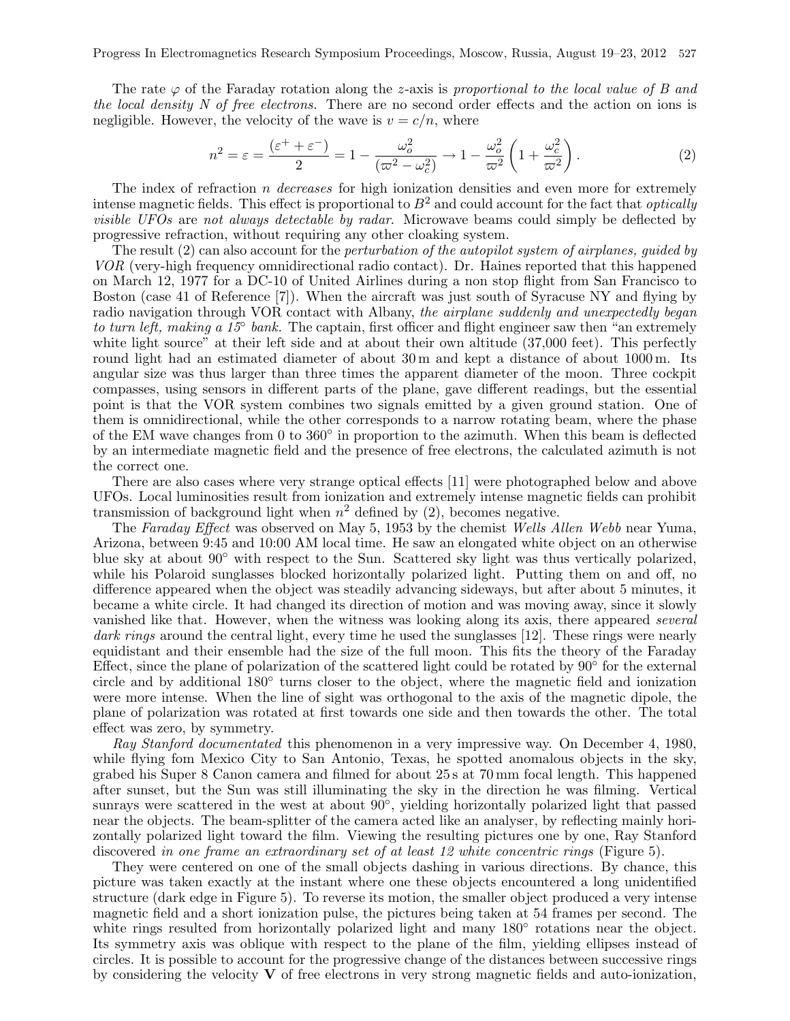The rate  $\varphi$  of the Faraday rotation along the z-axis is proportional to the local value of B and the local density N of free electrons. There are no second order effects and the action on ions is negligible. However, the velocity of the wave is  $v = c/n$ , where

$$
n^2 = \varepsilon = \frac{(\varepsilon^+ + \varepsilon^-)}{2} = 1 - \frac{\omega_o^2}{(\varpi^2 - \omega_c^2)} \to 1 - \frac{\omega_o^2}{\varpi^2} \left( 1 + \frac{\omega_c^2}{\varpi^2} \right). \tag{2}
$$

The index of refraction  $n$  decreases for high ionization densities and even more for extremely intense magnetic fields. This effect is proportional to  $B<sup>2</sup>$  and could account for the fact that *optically* visible UFOs are not always detectable by radar. Microwave beams could simply be deflected by progressive refraction, without requiring any other cloaking system.

The result  $(2)$  can also account for the *perturbation of the autopilot system of airplanes, quided by* VOR (very-high frequency omnidirectional radio contact). Dr. Haines reported that this happened on March 12, 1977 for a DC-10 of United Airlines during a non stop flight from San Francisco to Boston (case 41 of Reference [7]). When the aircraft was just south of Syracuse NY and flying by radio navigation through VOR contact with Albany, the airplane suddenly and unexpectedly began to turn left, making a  $15^{\circ}$  bank. The captain, first officer and flight engineer saw then "an extremely white light source" at their left side and at about their own altitude (37,000 feet). This perfectly round light had an estimated diameter of about 30 m and kept a distance of about 1000 m. Its angular size was thus larger than three times the apparent diameter of the moon. Three cockpit compasses, using sensors in different parts of the plane, gave different readings, but the essential point is that the VOR system combines two signals emitted by a given ground station. One of them is omnidirectional, while the other corresponds to a narrow rotating beam, where the phase of the EM wave changes from 0 to 360° in proportion to the azimuth. When this beam is deflected by an intermediate magnetic field and the presence of free electrons, the calculated azimuth is not the correct one.

There are also cases where very strange optical effects [11] were photographed below and above UFOs. Local luminosities result from ionization and extremely intense magnetic fields can prohibit transmission of background light when  $n^2$  defined by (2), becomes negative.

The Faraday Effect was observed on May 5, 1953 by the chemist Wells Allen Webb near Yuma, Arizona, between 9:45 and 10:00 AM local time. He saw an elongated white object on an otherwise blue sky at about 90◦ with respect to the Sun. Scattered sky light was thus vertically polarized, while his Polaroid sunglasses blocked horizontally polarized light. Putting them on and off, no difference appeared when the object was steadily advancing sideways, but after about 5 minutes, it became a white circle. It had changed its direction of motion and was moving away, since it slowly vanished like that. However, when the witness was looking along its axis, there appeared several dark rings around the central light, every time he used the sunglasses [12]. These rings were nearly equidistant and their ensemble had the size of the full moon. This fits the theory of the Faraday Effect, since the plane of polarization of the scattered light could be rotated by  $90^{\circ}$  for the external circle and by additional 180◦ turns closer to the object, where the magnetic field and ionization were more intense. When the line of sight was orthogonal to the axis of the magnetic dipole, the plane of polarization was rotated at first towards one side and then towards the other. The total effect was zero, by symmetry.

Ray Stanford documentated this phenomenon in a very impressive way. On December 4, 1980, while flying fom Mexico City to San Antonio, Texas, he spotted anomalous objects in the sky, grabed his Super 8 Canon camera and filmed for about 25 s at 70 mm focal length. This happened after sunset, but the Sun was still illuminating the sky in the direction he was filming. Vertical sunrays were scattered in the west at about  $90^{\circ}$ , yielding horizontally polarized light that passed near the objects. The beam-splitter of the camera acted like an analyser, by reflecting mainly horizontally polarized light toward the film. Viewing the resulting pictures one by one, Ray Stanford discovered in one frame an extraordinary set of at least 12 white concentric rings (Figure 5).

They were centered on one of the small objects dashing in various directions. By chance, this picture was taken exactly at the instant where one these objects encountered a long unidentified structure (dark edge in Figure 5). To reverse its motion, the smaller object produced a very intense magnetic field and a short ionization pulse, the pictures being taken at 54 frames per second. The white rings resulted from horizontally polarized light and many 180° rotations near the object. Its symmetry axis was oblique with respect to the plane of the film, yielding ellipses instead of circles. It is possible to account for the progressive change of the distances between successive rings by considering the velocity  $\bf{V}$  of free electrons in very strong magnetic fields and auto-ionization,